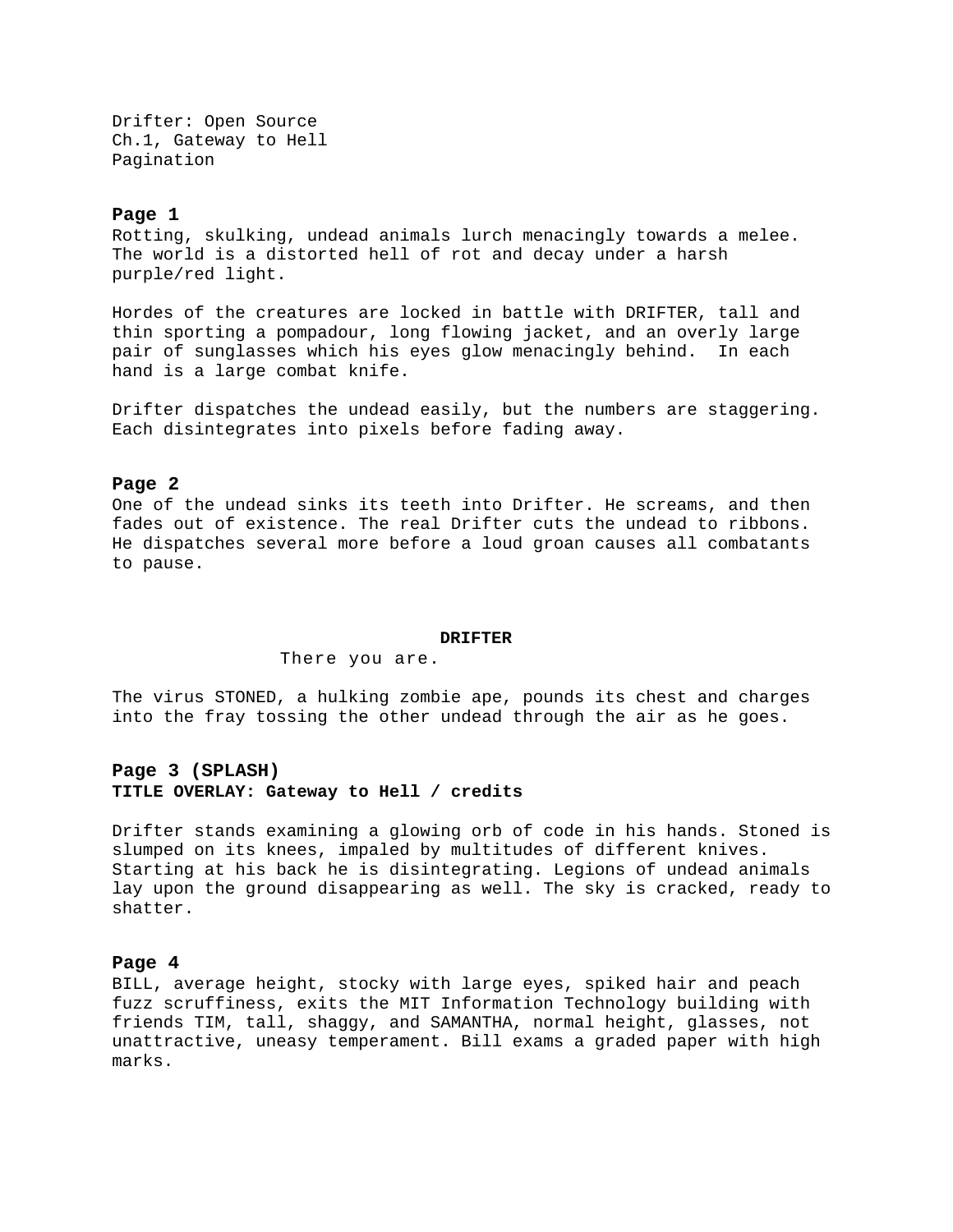Drifter: Open Source Ch.1, Gateway to Hell Pagination

# **Page 1**

Rotting, skulking, undead animals lurch menacingly towards a melee. The world is a distorted hell of rot and decay under a harsh purple/red light.

Hordes of the creatures are locked in battle with DRIFTER, tall and thin sporting a pompadour, long flowing jacket, and an overly large pair of sunglasses which his eyes glow menacingly behind. In each hand is a large combat knife.

Drifter dispatches the undead easily, but the numbers are staggering. Each disintegrates into pixels before fading away.

## **Page 2**

One of the undead sinks its teeth into Drifter. He screams, and then fades out of existence. The real Drifter cuts the undead to ribbons. He dispatches several more before a loud groan causes all combatants to pause.

#### **DRIFTER**

### There you are.

The virus STONED, a hulking zombie ape, pounds its chest and charges into the fray tossing the other undead through the air as he goes.

# **Page 3 (SPLASH) TITLE OVERLAY: Gateway to Hell / credits**

Drifter stands examining a glowing orb of code in his hands. Stoned is slumped on its knees, impaled by multitudes of different knives. Starting at his back he is disintegrating. Legions of undead animals lay upon the ground disappearing as well. The sky is cracked, ready to shatter.

# **Page 4**

BILL, average height, stocky with large eyes, spiked hair and peach fuzz scruffiness, exits the MIT Information Technology building with friends TIM, tall, shaggy, and SAMANTHA, normal height, glasses, not unattractive, uneasy temperament. Bill exams a graded paper with high marks.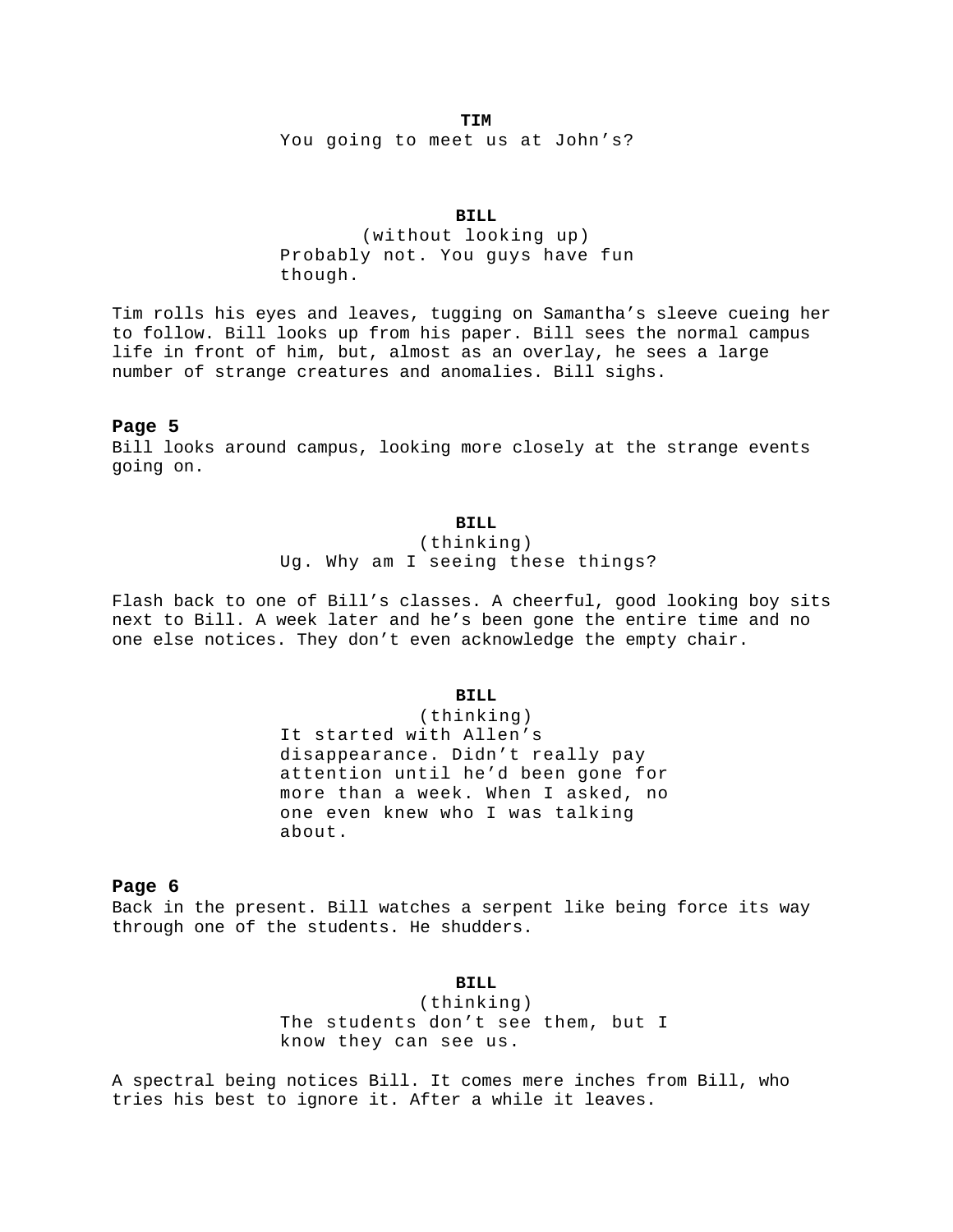You going to meet us at John's?

## **BILL**

(without looking up) Probably not. You guys have fun though.

Tim rolls his eyes and leaves, tugging on Samantha's sleeve cueing her to follow. Bill looks up from his paper. Bill sees the normal campus life in front of him, but, almost as an overlay, he sees a large number of strange creatures and anomalies. Bill sighs.

# **Page 5**

Bill looks around campus, looking more closely at the strange events going on.

## **BILL**

(thinking) Ug. Why am I seeing these things?

Flash back to one of Bill's classes. A cheerful, good looking boy sits next to Bill. A week later and he's been gone the entire time and no one else notices. They don't even acknowledge the empty chair.

# **BILL**

(thinking) It started with Allen's disappearance. Didn't really pay attention until he'd been gone for more than a week. When I asked, no one even knew who I was talking about.

## **Page 6**

Back in the present. Bill watches a serpent like being force its way through one of the students. He shudders.

## **BILL**

(thinking) The students don't see them, but I know they can see us.

A spectral being notices Bill. It comes mere inches from Bill, who tries his best to ignore it. After a while it leaves.

### **TIM**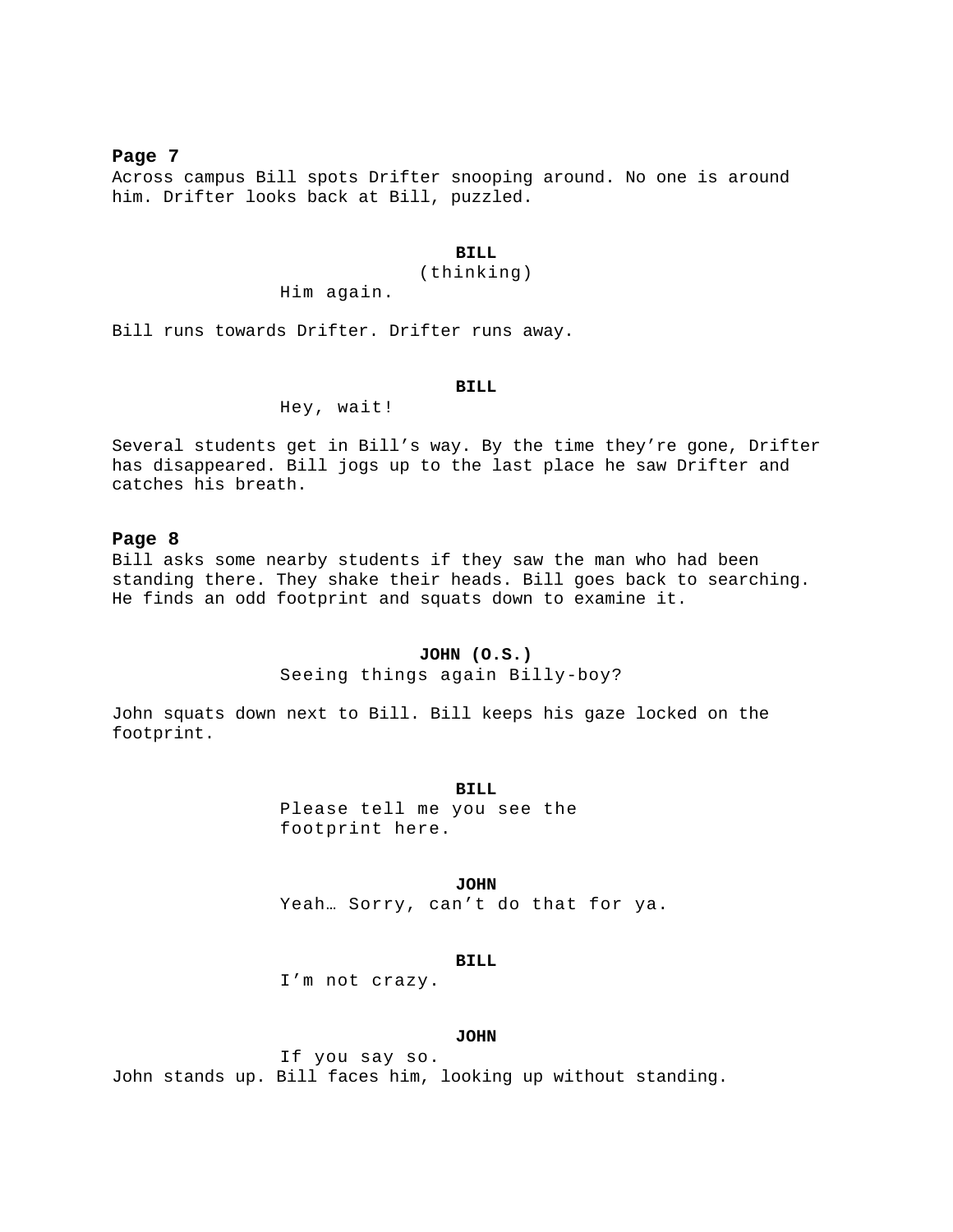# **Page 7**

Across campus Bill spots Drifter snooping around. No one is around him. Drifter looks back at Bill, puzzled.

### **BILL**

(thinking)

Him again.

Bill runs towards Drifter. Drifter runs away.

# **BILL**

Hey, wait!

Several students get in Bill's way. By the time they're gone, Drifter has disappeared. Bill jogs up to the last place he saw Drifter and catches his breath.

# **Page 8**

Bill asks some nearby students if they saw the man who had been standing there. They shake their heads. Bill goes back to searching. He finds an odd footprint and squats down to examine it.

### **JOHN (O.S.)**

Seeing things again Billy-boy?

John squats down next to Bill. Bill keeps his gaze locked on the footprint.

**BILL**

Please tell me you see the footprint here.

**JOHN**

Yeah… Sorry, can't do that for ya.

### **BILL**

I'm not crazy.

## **JOHN**

If you say so. John stands up. Bill faces him, looking up without standing.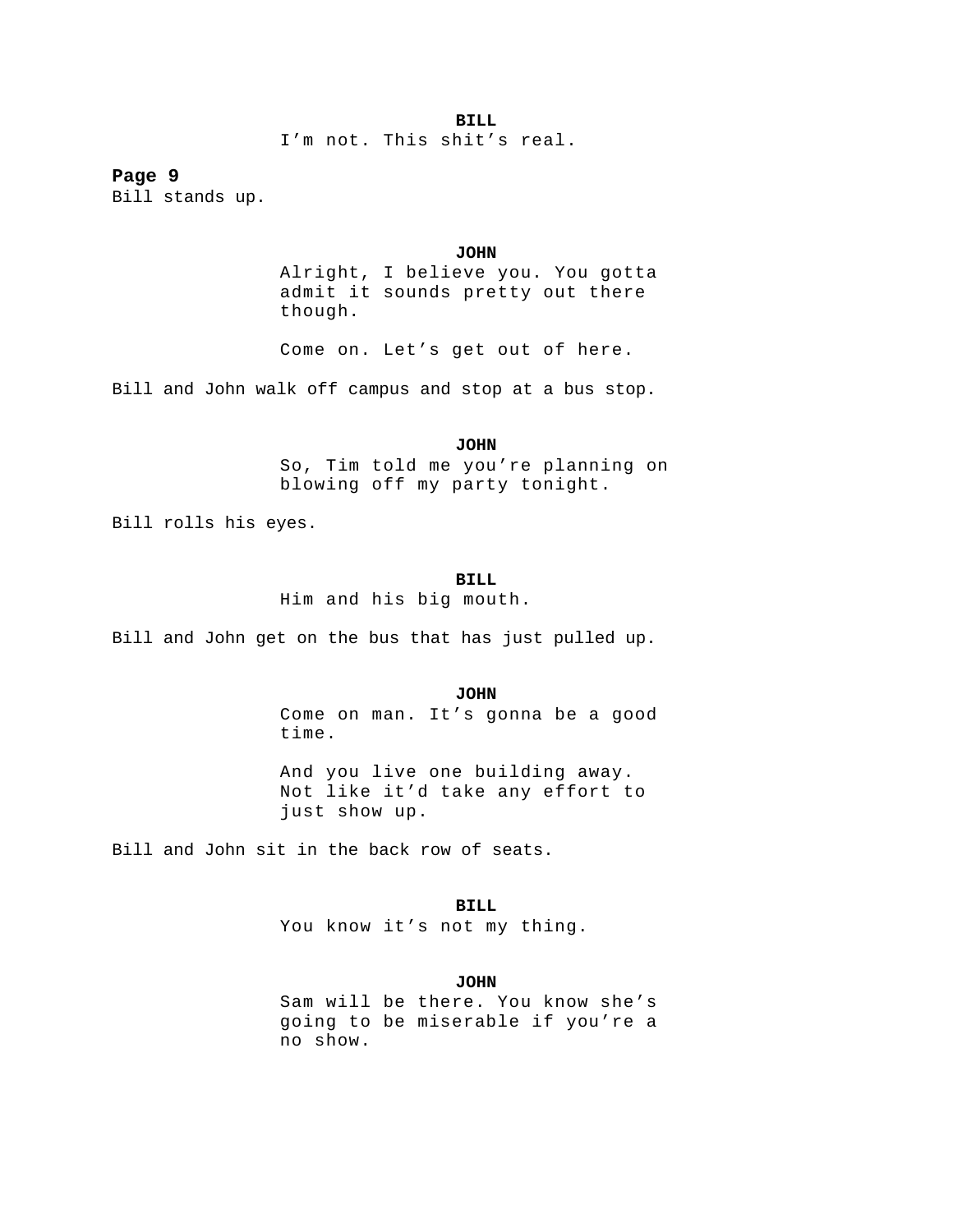# **BILL**

I'm not. This shit's real.

# **Page 9**

Bill stands up.

## **JOHN**

Alright, I believe you. You gotta admit it sounds pretty out there though.

Come on. Let's get out of here.

Bill and John walk off campus and stop at a bus stop.

# **JOHN**

So, Tim told me you're planning on blowing off my party tonight.

Bill rolls his eyes.

#### **BILL**

Him and his big mouth.

Bill and John get on the bus that has just pulled up.

#### **JOHN**

Come on man. It's gonna be a good time.

And you live one building away. Not like it'd take any effort to just show up.

Bill and John sit in the back row of seats.

# **BILL**

You know it's not my thing.

## **JOHN**

Sam will be there. You know she's going to be miserable if you're a no show.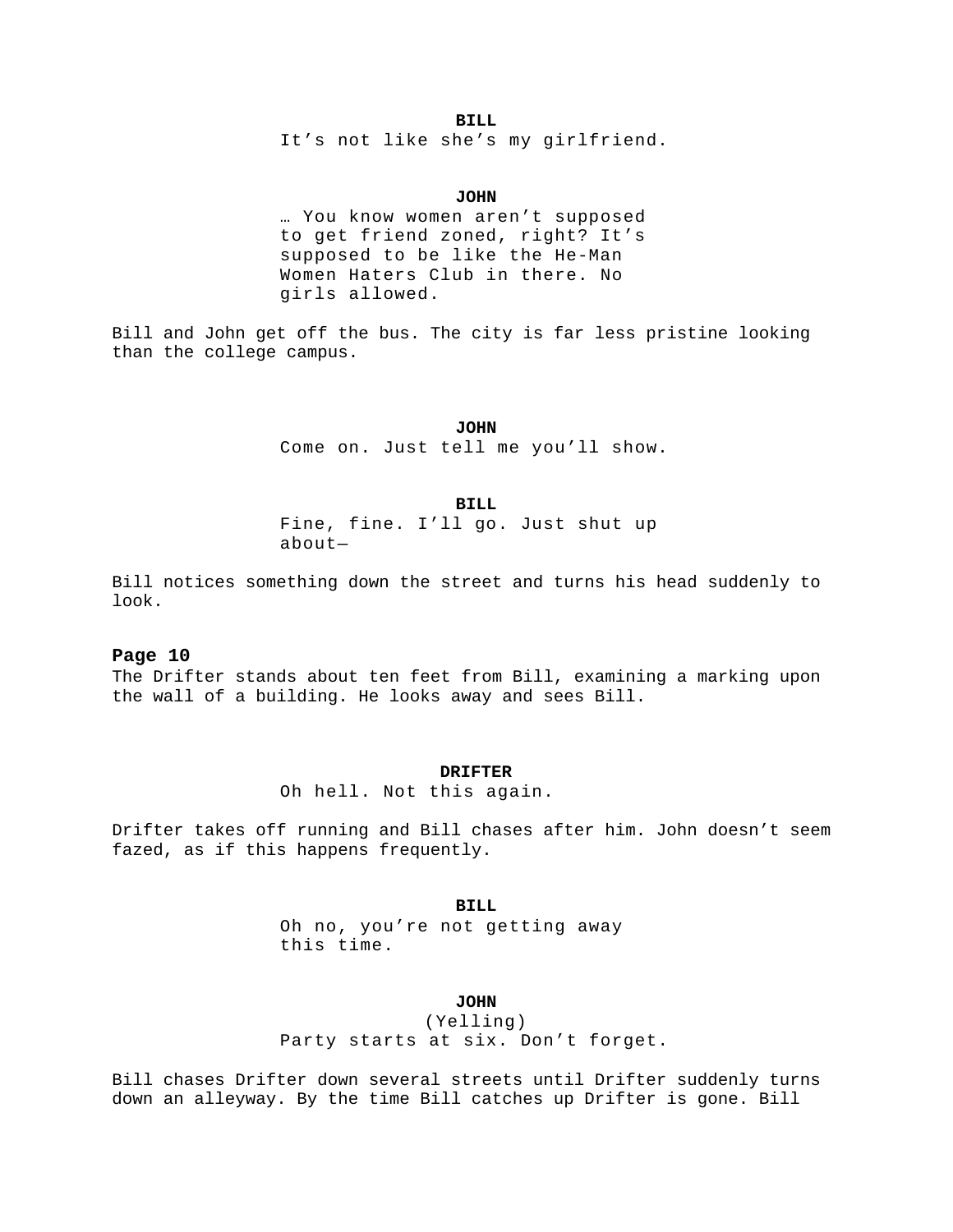# **BILL**

It's not like she's my girlfriend.

#### **JOHN**

… You know women aren't supposed to get friend zoned, right? It's supposed to be like the He-Man Women Haters Club in there. No girls allowed.

Bill and John get off the bus. The city is far less pristine looking than the college campus.

## **JOHN**

Come on. Just tell me you'll show.

### **BILL**

Fine, fine. I'll go. Just shut up about—

Bill notices something down the street and turns his head suddenly to look.

## **Page 10**

The Drifter stands about ten feet from Bill, examining a marking upon the wall of a building. He looks away and sees Bill.

#### **DRIFTER**

Oh hell. Not this again.

Drifter takes off running and Bill chases after him. John doesn't seem fazed, as if this happens frequently.

> **BILL** Oh no, you're not getting away this time.

## **JOHN**

(Yelling) Party starts at six. Don't forget.

Bill chases Drifter down several streets until Drifter suddenly turns down an alleyway. By the time Bill catches up Drifter is gone. Bill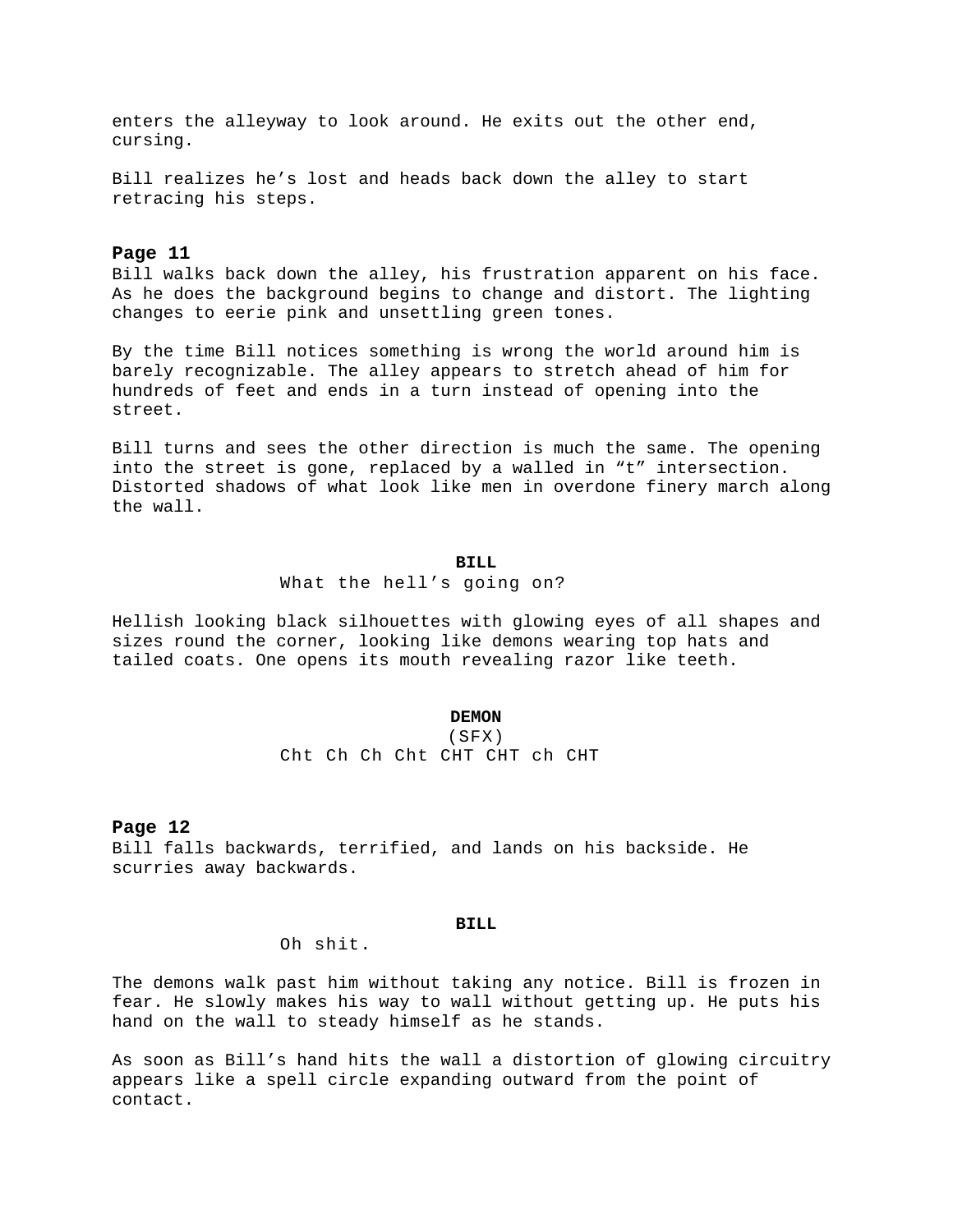enters the alleyway to look around. He exits out the other end, cursing.

Bill realizes he's lost and heads back down the alley to start retracing his steps.

## **Page 11**

Bill walks back down the alley, his frustration apparent on his face. As he does the background begins to change and distort. The lighting changes to eerie pink and unsettling green tones.

By the time Bill notices something is wrong the world around him is barely recognizable. The alley appears to stretch ahead of him for hundreds of feet and ends in a turn instead of opening into the street.

Bill turns and sees the other direction is much the same. The opening into the street is gone, replaced by a walled in "t" intersection. Distorted shadows of what look like men in overdone finery march along the wall.

# **BILL**

## What the hell's going on?

Hellish looking black silhouettes with glowing eyes of all shapes and sizes round the corner, looking like demons wearing top hats and tailed coats. One opens its mouth revealing razor like teeth.

#### **DEMON**

(SFX) Cht Ch Ch Cht CHT CHT ch CHT

### **Page 12**

Bill falls backwards, terrified, and lands on his backside. He scurries away backwards.

## **BILL**

Oh shit.

The demons walk past him without taking any notice. Bill is frozen in fear. He slowly makes his way to wall without getting up. He puts his hand on the wall to steady himself as he stands.

As soon as Bill's hand hits the wall a distortion of glowing circuitry appears like a spell circle expanding outward from the point of contact.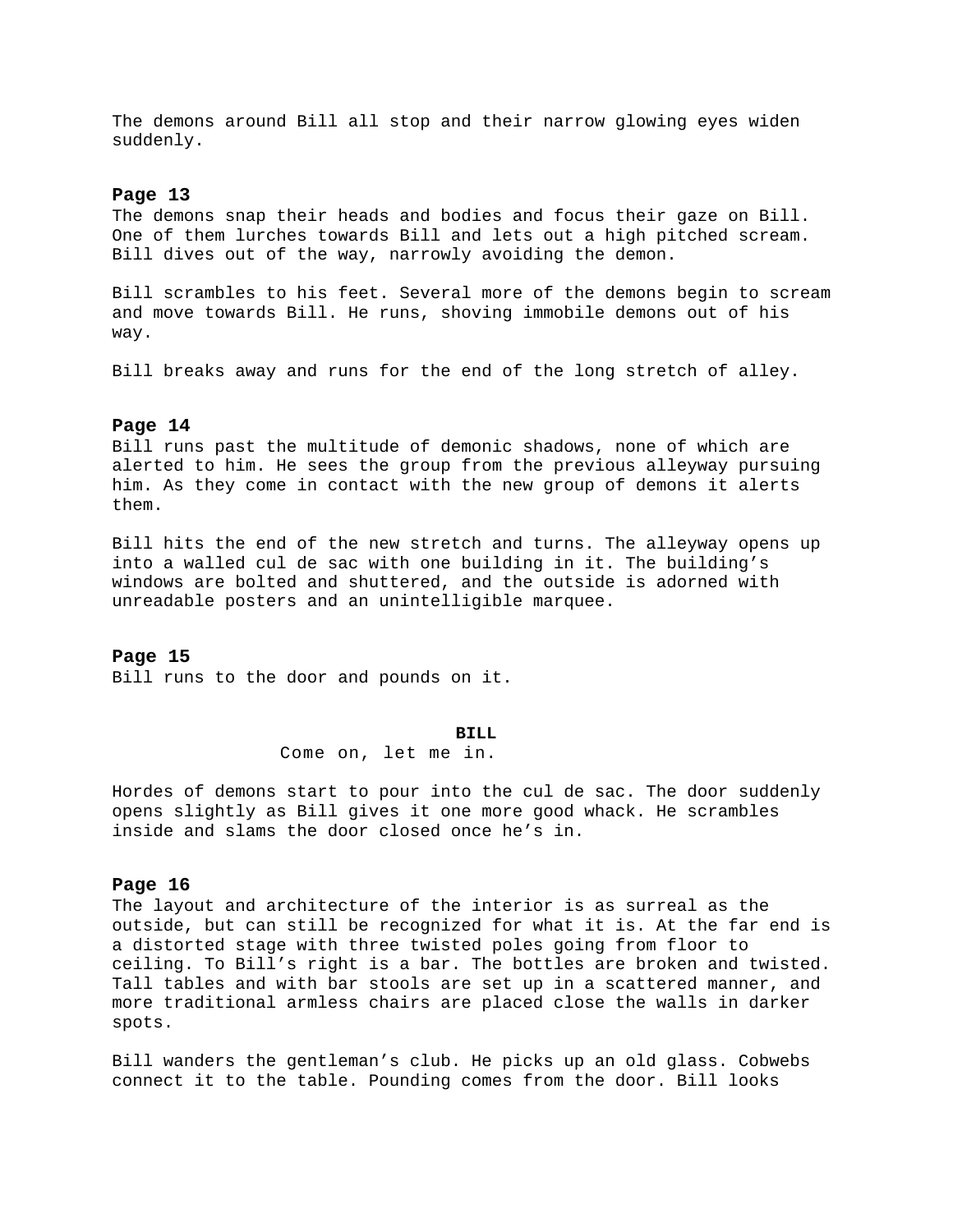The demons around Bill all stop and their narrow glowing eyes widen suddenly.

## **Page 13**

The demons snap their heads and bodies and focus their gaze on Bill. One of them lurches towards Bill and lets out a high pitched scream. Bill dives out of the way, narrowly avoiding the demon.

Bill scrambles to his feet. Several more of the demons begin to scream and move towards Bill. He runs, shoving immobile demons out of his way.

Bill breaks away and runs for the end of the long stretch of alley.

### **Page 14**

Bill runs past the multitude of demonic shadows, none of which are alerted to him. He sees the group from the previous alleyway pursuing him. As they come in contact with the new group of demons it alerts them.

Bill hits the end of the new stretch and turns. The alleyway opens up into a walled cul de sac with one building in it. The building's windows are bolted and shuttered, and the outside is adorned with unreadable posters and an unintelligible marquee.

## **Page 15**

Bill runs to the door and pounds on it.

### **BILL**

Come on, let me in.

Hordes of demons start to pour into the cul de sac. The door suddenly opens slightly as Bill gives it one more good whack. He scrambles inside and slams the door closed once he's in.

# **Page 16**

The layout and architecture of the interior is as surreal as the outside, but can still be recognized for what it is. At the far end is a distorted stage with three twisted poles going from floor to ceiling. To Bill's right is a bar. The bottles are broken and twisted. Tall tables and with bar stools are set up in a scattered manner, and more traditional armless chairs are placed close the walls in darker spots.

Bill wanders the gentleman's club. He picks up an old glass. Cobwebs connect it to the table. Pounding comes from the door. Bill looks